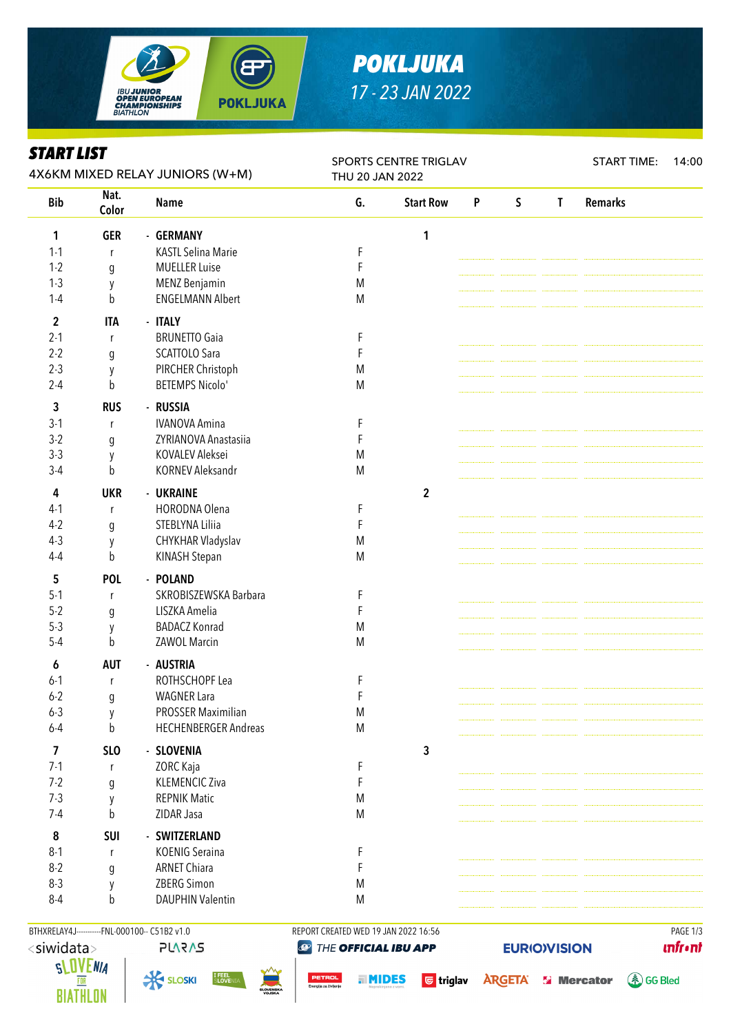

# *POKLJUKA 17 - 23 JAN 2022*

### *START LIST*

| ƏIAKI LIƏI<br>4X6KM MIXED RELAY JUNIORS (W+M) |                  |                             | <b>SPORTS CENTRE TRIGLAV</b><br>THU 20 JAN 2022 |                  |                           |             |              | <b>START TIME:</b> | 14:00 |
|-----------------------------------------------|------------------|-----------------------------|-------------------------------------------------|------------------|---------------------------|-------------|--------------|--------------------|-------|
| <b>Bib</b>                                    | Nat.<br>Color    | <b>Name</b>                 | G.                                              | <b>Start Row</b> | $\boldsymbol{\mathsf{P}}$ | $\mathsf S$ | $\mathsf{T}$ | <b>Remarks</b>     |       |
| 1                                             | <b>GER</b>       | - GERMANY                   |                                                 | 1                |                           |             |              |                    |       |
| $1 - 1$                                       | r                | <b>KASTL Selina Marie</b>   | F                                               |                  |                           |             |              |                    |       |
| $1 - 2$                                       | $\boldsymbol{g}$ | <b>MUELLER Luise</b>        | F                                               |                  |                           |             |              |                    |       |
| $1-3$                                         | y                | <b>MENZ Benjamin</b>        | M                                               |                  |                           |             |              |                    |       |
| $1 - 4$                                       | $\mathsf b$      | <b>ENGELMANN Albert</b>     | M                                               |                  |                           |             |              |                    |       |
| $\mathbf 2$                                   | <b>ITA</b>       | - ITALY                     |                                                 |                  |                           |             |              |                    |       |
| $2 - 1$                                       | r                | <b>BRUNETTO Gaia</b>        | F                                               |                  |                           |             |              |                    |       |
| $2 - 2$                                       | $\mathfrak g$    | SCATTOLO Sara               | F                                               |                  |                           |             |              |                    |       |
| $2-3$                                         | y                | PIRCHER Christoph           | M                                               |                  |                           |             |              |                    |       |
| $2 - 4$                                       | b                | <b>BETEMPS Nicolo'</b>      | M                                               |                  |                           |             |              |                    |       |
| 3                                             | <b>RUS</b>       | - RUSSIA                    |                                                 |                  |                           |             |              |                    |       |
| $3-1$                                         | r                | <b>IVANOVA Amina</b>        | F                                               |                  |                           |             |              |                    |       |
| $3-2$                                         | g                | ZYRIANOVA Anastasiia        | F                                               |                  |                           |             |              |                    |       |
| $3-3$                                         | у                | KOVALEV Aleksei             | M                                               |                  |                           |             |              |                    |       |
| $3-4$                                         | b                | <b>KORNEV Aleksandr</b>     | M                                               |                  |                           |             |              |                    |       |
| 4                                             | <b>UKR</b>       | - UKRAINE                   |                                                 | $\mathbf{2}$     |                           |             |              |                    |       |
| $4-1$                                         | r                | HORODNA Olena               | F                                               |                  |                           |             |              |                    |       |
| $4-2$                                         | $\mathfrak g$    | STEBLYNA Liliia             | F                                               |                  |                           |             |              |                    |       |
| $4-3$                                         | y                | CHYKHAR Vladyslav           | M                                               |                  |                           |             |              |                    |       |
| $4 - 4$                                       | b                | <b>KINASH Stepan</b>        | M                                               |                  |                           |             |              |                    |       |
| 5                                             | <b>POL</b>       | - POLAND                    |                                                 |                  |                           |             |              |                    |       |
| $5-1$                                         | r                | SKROBISZEWSKA Barbara       | F                                               |                  |                           |             |              |                    |       |
| $5 - 2$                                       | g                | LISZKA Amelia               | F                                               |                  |                           |             |              |                    |       |
| $5-3$                                         | y                | <b>BADACZ Konrad</b>        | M                                               |                  |                           |             |              |                    |       |
| $5 - 4$                                       | b                | ZAWOL Marcin                | M                                               |                  |                           |             |              |                    |       |
| 6                                             | <b>AUT</b>       | - AUSTRIA                   |                                                 |                  |                           |             |              |                    |       |
| $6 - 1$                                       | r                | ROTHSCHOPF Lea              | F                                               |                  |                           |             |              |                    |       |
| $6 - 2$                                       | g                | <b>WAGNER Lara</b>          | F                                               |                  |                           |             |              |                    |       |
| $6 - 3$                                       | y                | PROSSER Maximilian          | M                                               |                  |                           |             |              |                    |       |
| $6 - 4$                                       | b                | <b>HECHENBERGER Andreas</b> | M                                               |                  |                           |             |              |                    |       |
| 7                                             | <b>SLO</b>       | - SLOVENIA                  |                                                 | 3                |                           |             |              |                    |       |
| $7-1$                                         | r                | ZORC Kaja                   | F                                               |                  |                           |             |              |                    |       |
| $7 - 2$                                       | $\mathfrak g$    | <b>KLEMENCIC Ziva</b>       | F                                               |                  |                           |             |              |                    |       |
| $7-3$                                         | y                | <b>REPNIK Matic</b>         | M                                               |                  |                           |             |              |                    |       |
| $7-4$                                         | b                | ZIDAR Jasa                  | M                                               |                  |                           |             |              |                    |       |
| 8                                             | <b>SUI</b>       | - SWITZERLAND               |                                                 |                  |                           |             |              |                    |       |
| $8-1$                                         | r                | <b>KOENIG Seraina</b>       | F                                               |                  |                           |             |              |                    |       |
| $8-2$                                         | g                | <b>ARNET Chiara</b>         | F                                               |                  |                           |             |              |                    |       |
| $8 - 3$                                       | y                | ZBERG Simon                 | M                                               |                  |                           |             |              |                    |       |
| $8 - 4$                                       | b                | <b>DAUPHIN Valentin</b>     | M                                               |                  |                           |             |              |                    |       |
|                                               |                  |                             |                                                 |                  |                           |             |              |                    |       |





BTHXRELAY4J----------FNL-000100-- C51B2 v1.0 REPORT CREATED WED 19 JAN 2022 16:56 PAGE 1/3 THE OFFICIAL IBU APP

**unfront** 



**a MIDES** G triglav ARGETA **S' Mercator** 

**4 GG Bled** 

**EURIO)VISION**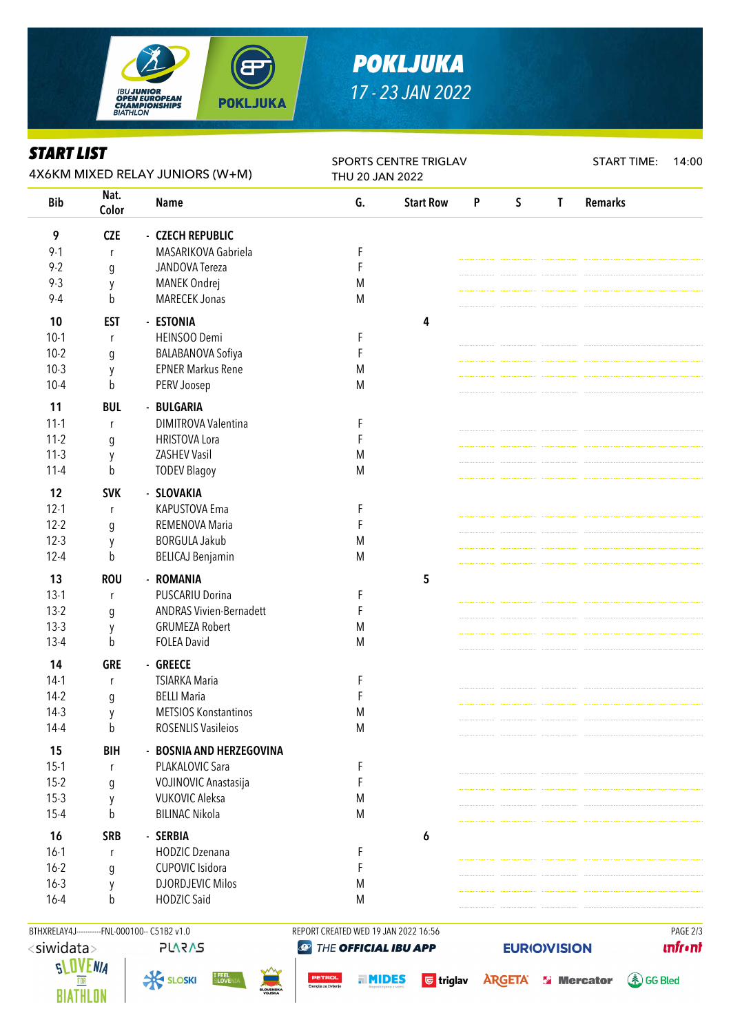

## *POKLJUKA 17 - 23 JAN 2022*

#### *START LIST*

| ƏIAKI LIƏI<br>4X6KM MIXED RELAY JUNIORS (W+M) |                  |                                | <b>SPORTS CENTRE TRIGLAV</b><br>THU 20 JAN 2022 |                  |   |             |              | <b>START TIME:</b> | 14:00 |
|-----------------------------------------------|------------------|--------------------------------|-------------------------------------------------|------------------|---|-------------|--------------|--------------------|-------|
| <b>Bib</b>                                    | Nat.<br>Color    | <b>Name</b>                    | G.                                              | <b>Start Row</b> | P | $\mathsf S$ | $\mathsf{T}$ | <b>Remarks</b>     |       |
| 9                                             | <b>CZE</b>       | - CZECH REPUBLIC               |                                                 |                  |   |             |              |                    |       |
| $9 - 1$                                       | r                | MASARIKOVA Gabriela            | F                                               |                  |   |             |              |                    |       |
| $9 - 2$                                       | $\mathfrak g$    | JANDOVA Tereza                 | F                                               |                  |   |             |              |                    |       |
| $9 - 3$                                       | у                | MANEK Ondrej                   | M                                               |                  |   |             |              |                    |       |
| $9 - 4$                                       | b                | <b>MARECEK Jonas</b>           | M                                               |                  |   |             |              |                    |       |
| 10                                            | <b>EST</b>       | - ESTONIA                      |                                                 | 4                |   |             |              |                    |       |
| $10-1$                                        | r                | HEINSOO Demi                   | F                                               |                  |   |             |              |                    |       |
| $10-2$                                        | g                | BALABANOVA Sofiya              | F                                               |                  |   |             |              |                    |       |
| $10-3$                                        | y                | <b>EPNER Markus Rene</b>       | M                                               |                  |   |             |              |                    |       |
| $10 - 4$                                      | b                | PERV Joosep                    | M                                               |                  |   |             |              |                    |       |
| 11                                            | <b>BUL</b>       | - BULGARIA                     |                                                 |                  |   |             |              |                    |       |
| $11 - 1$                                      | r                | DIMITROVA Valentina            | F                                               |                  |   |             |              |                    |       |
| $11-2$                                        | g                | <b>HRISTOVA Lora</b>           | F                                               |                  |   |             |              |                    |       |
| $11-3$                                        | y                | <b>ZASHEV Vasil</b>            | M                                               |                  |   |             |              |                    |       |
| $11 - 4$                                      | b                | <b>TODEV Blagoy</b>            | M                                               |                  |   |             |              |                    |       |
|                                               |                  | - SLOVAKIA                     |                                                 |                  |   |             |              |                    |       |
| 12                                            | <b>SVK</b>       |                                |                                                 |                  |   |             |              |                    |       |
| $12 - 1$                                      | r                | KAPUSTOVA Ema                  | F                                               |                  |   |             |              |                    |       |
| $12 - 2$                                      | $\boldsymbol{g}$ | REMENOVA Maria                 | F                                               |                  |   |             |              |                    |       |
| $12-3$                                        | у                | <b>BORGULA Jakub</b>           | M<br>${\sf M}$                                  |                  |   |             |              |                    |       |
| $12 - 4$                                      | b                | <b>BELICAJ Benjamin</b>        |                                                 |                  |   |             |              |                    |       |
| 13                                            | <b>ROU</b>       | - ROMANIA                      |                                                 | 5                |   |             |              |                    |       |
| $13-1$                                        | r                | <b>PUSCARIU Dorina</b>         | F                                               |                  |   |             |              |                    |       |
| $13-2$                                        | g                | <b>ANDRAS Vivien-Bernadett</b> | F                                               |                  |   |             |              |                    |       |
| $13-3$                                        | y                | <b>GRUMEZA Robert</b>          | M                                               |                  |   |             |              |                    |       |
| $13-4$                                        | b                | <b>FOLEA David</b>             | M                                               |                  |   |             |              |                    |       |
| 14                                            | <b>GRE</b>       | - GREECE                       |                                                 |                  |   |             |              |                    |       |
| $14-1$                                        | r                | <b>TSIARKA Maria</b>           | F                                               |                  |   |             |              |                    |       |
| $14-2$                                        | g                | <b>BELLI Maria</b>             | F                                               |                  |   |             |              |                    |       |
| $14-3$                                        | y                | <b>METSIOS Konstantinos</b>    | M                                               |                  |   |             |              |                    |       |
| $14-4$                                        | b                | <b>ROSENLIS Vasileios</b>      | M                                               |                  |   |             |              |                    |       |
| 15                                            | <b>BIH</b>       | - BOSNIA AND HERZEGOVINA       |                                                 |                  |   |             |              |                    |       |
| $15-1$                                        | r                | PLAKALOVIC Sara                | F                                               |                  |   |             |              |                    |       |
| $15-2$                                        | g                | VOJINOVIC Anastasija           | F                                               |                  |   |             |              |                    |       |
| $15-3$                                        | y                | <b>VUKOVIC Aleksa</b>          | M                                               |                  |   |             |              |                    |       |
| $15 - 4$                                      | b                | <b>BILINAC Nikola</b>          | M                                               |                  |   |             |              |                    |       |
| 16                                            | <b>SRB</b>       | - SERBIA                       |                                                 | 6                |   |             |              |                    |       |
| $16-1$                                        | r                | <b>HODZIC Dzenana</b>          | F                                               |                  |   |             |              |                    |       |
| $16 - 2$                                      | g                | CUPOVIC Isidora                | F                                               |                  |   |             |              |                    |       |
| $16 - 3$                                      | y                | <b>DJORDJEVIC Milos</b>        | M                                               |                  |   |             |              |                    |       |
| $16 - 4$                                      | b                | <b>HODZIC Said</b>             | M                                               |                  |   |             |              |                    |       |
|                                               |                  |                                |                                                 |                  |   |             |              |                    |       |





BTHXRELAY4J----------FNL-000100-- C51B2 v1.0 REPORT CREATED WED 19 JAN 2022 16:56 PAGE 2/3 THE OFFICIAL IBU APP

**unfront** 

**4 GG Bled** 

**EURIO)VISION** 

**a MIDES** G triglav ARGETA **S' Mercator**